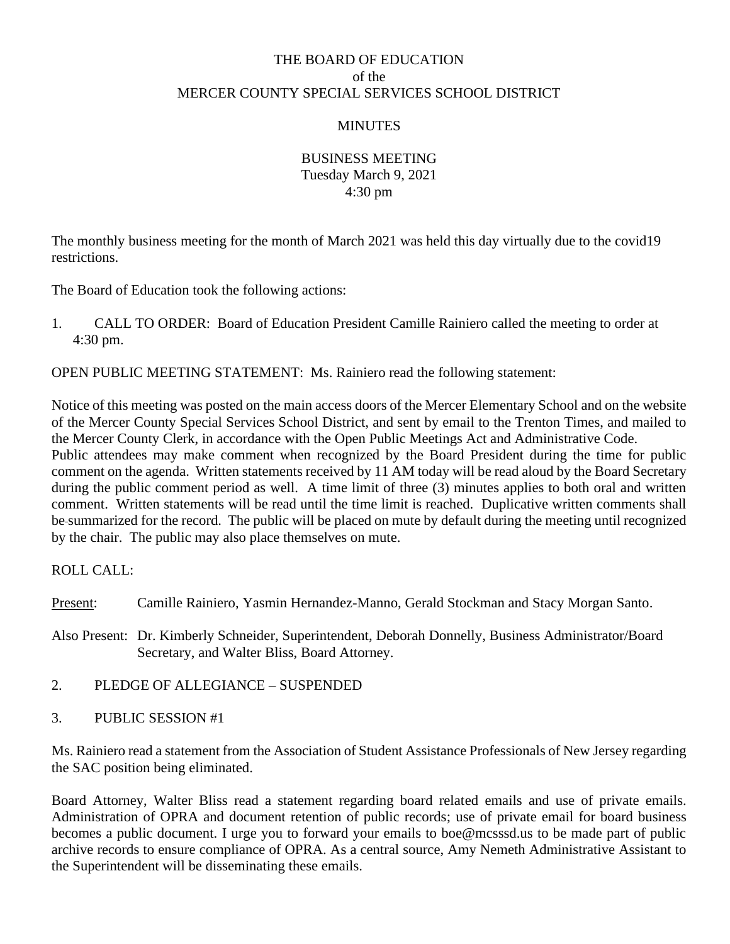# THE BOARD OF EDUCATION of the MERCER COUNTY SPECIAL SERVICES SCHOOL DISTRICT

### **MINUTES**

#### BUSINESS MEETING Tuesday March 9, 2021 4:30 pm

The monthly business meeting for the month of March 2021 was held this day virtually due to the covid19 restrictions.

The Board of Education took the following actions:

1. CALL TO ORDER: Board of Education President Camille Rainiero called the meeting to order at 4:30 pm.

OPEN PUBLIC MEETING STATEMENT: Ms. Rainiero read the following statement:

Notice of this meeting was posted on the main access doors of the Mercer Elementary School and on the website of the Mercer County Special Services School District, and sent by email to the Trenton Times, and mailed to the Mercer County Clerk, in accordance with the Open Public Meetings Act and Administrative Code. Public attendees may make comment when recognized by the Board President during the time for public comment on the agenda. Written statements received by 11 AM today will be read aloud by the Board Secretary during the public comment period as well. A time limit of three (3) minutes applies to both oral and written comment. Written statements will be read until the time limit is reached. Duplicative written comments shall be summarized for the record. The public will be placed on mute by default during the meeting until recognized by the chair. The public may also place themselves on mute.

ROLL CALL:

Present: Camille Rainiero, Yasmin Hernandez-Manno, Gerald Stockman and Stacy Morgan Santo.

Also Present: Dr. Kimberly Schneider, Superintendent, Deborah Donnelly, Business Administrator/Board Secretary, and Walter Bliss, Board Attorney.

- 2. PLEDGE OF ALLEGIANCE SUSPENDED
- 3. PUBLIC SESSION #1

Ms. Rainiero read a statement from the Association of Student Assistance Professionals of New Jersey regarding the SAC position being eliminated.

Board Attorney, Walter Bliss read a statement regarding board related emails and use of private emails. Administration of OPRA and document retention of public records; use of private email for board business becomes a public document. I urge you to forward your emails to boe@mcsssd.us to be made part of public archive records to ensure compliance of OPRA. As a central source, Amy Nemeth Administrative Assistant to the Superintendent will be disseminating these emails.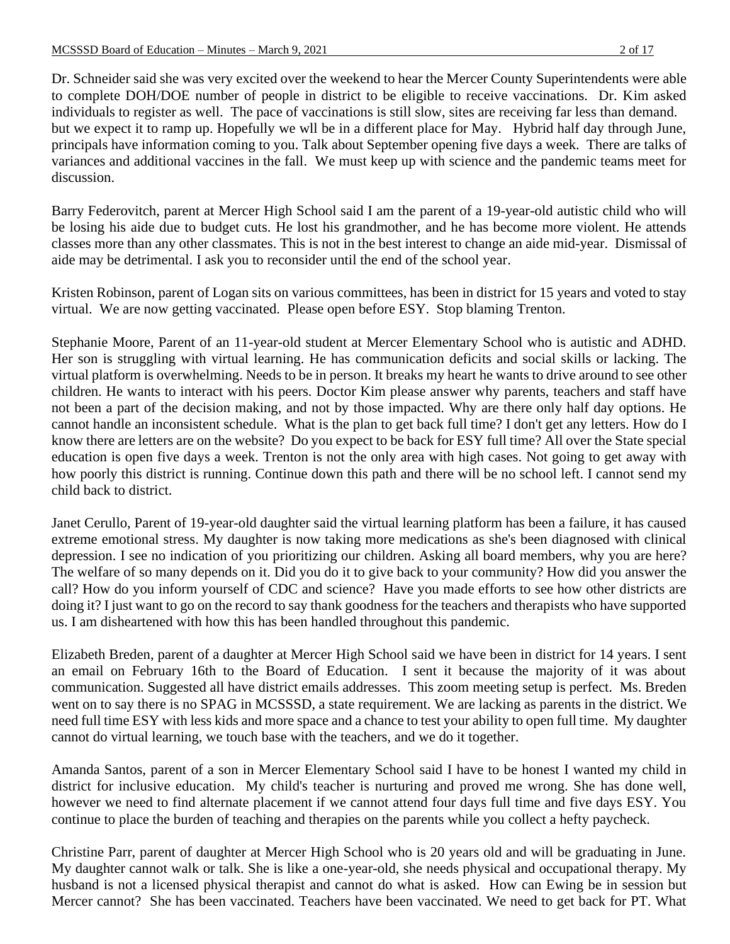Dr. Schneider said she was very excited over the weekend to hear the Mercer County Superintendents were able to complete DOH/DOE number of people in district to be eligible to receive vaccinations. Dr. Kim asked individuals to register as well. The pace of vaccinations is still slow, sites are receiving far less than demand. but we expect it to ramp up. Hopefully we wll be in a different place for May. Hybrid half day through June, principals have information coming to you. Talk about September opening five days a week. There are talks of variances and additional vaccines in the fall. We must keep up with science and the pandemic teams meet for discussion.

Barry Federovitch, parent at Mercer High School said I am the parent of a 19-year-old autistic child who will be losing his aide due to budget cuts. He lost his grandmother, and he has become more violent. He attends classes more than any other classmates. This is not in the best interest to change an aide mid-year. Dismissal of aide may be detrimental. I ask you to reconsider until the end of the school year.

Kristen Robinson, parent of Logan sits on various committees, has been in district for 15 years and voted to stay virtual. We are now getting vaccinated. Please open before ESY. Stop blaming Trenton.

Stephanie Moore, Parent of an 11-year-old student at Mercer Elementary School who is autistic and ADHD. Her son is struggling with virtual learning. He has communication deficits and social skills or lacking. The virtual platform is overwhelming. Needs to be in person. It breaks my heart he wants to drive around to see other children. He wants to interact with his peers. Doctor Kim please answer why parents, teachers and staff have not been a part of the decision making, and not by those impacted. Why are there only half day options. He cannot handle an inconsistent schedule. What is the plan to get back full time? I don't get any letters. How do I know there are letters are on the website? Do you expect to be back for ESY full time? All over the State special education is open five days a week. Trenton is not the only area with high cases. Not going to get away with how poorly this district is running. Continue down this path and there will be no school left. I cannot send my child back to district.

Janet Cerullo, Parent of 19-year-old daughter said the virtual learning platform has been a failure, it has caused extreme emotional stress. My daughter is now taking more medications as she's been diagnosed with clinical depression. I see no indication of you prioritizing our children. Asking all board members, why you are here? The welfare of so many depends on it. Did you do it to give back to your community? How did you answer the call? How do you inform yourself of CDC and science? Have you made efforts to see how other districts are doing it? I just want to go on the record to say thank goodness for the teachers and therapists who have supported us. I am disheartened with how this has been handled throughout this pandemic.

Elizabeth Breden, parent of a daughter at Mercer High School said we have been in district for 14 years. I sent an email on February 16th to the Board of Education. I sent it because the majority of it was about communication. Suggested all have district emails addresses. This zoom meeting setup is perfect. Ms. Breden went on to say there is no SPAG in MCSSSD, a state requirement. We are lacking as parents in the district. We need full time ESY with less kids and more space and a chance to test your ability to open full time. My daughter cannot do virtual learning, we touch base with the teachers, and we do it together.

Amanda Santos, parent of a son in Mercer Elementary School said I have to be honest I wanted my child in district for inclusive education. My child's teacher is nurturing and proved me wrong. She has done well, however we need to find alternate placement if we cannot attend four days full time and five days ESY. You continue to place the burden of teaching and therapies on the parents while you collect a hefty paycheck.

Christine Parr, parent of daughter at Mercer High School who is 20 years old and will be graduating in June. My daughter cannot walk or talk. She is like a one-year-old, she needs physical and occupational therapy. My husband is not a licensed physical therapist and cannot do what is asked. How can Ewing be in session but Mercer cannot? She has been vaccinated. Teachers have been vaccinated. We need to get back for PT. What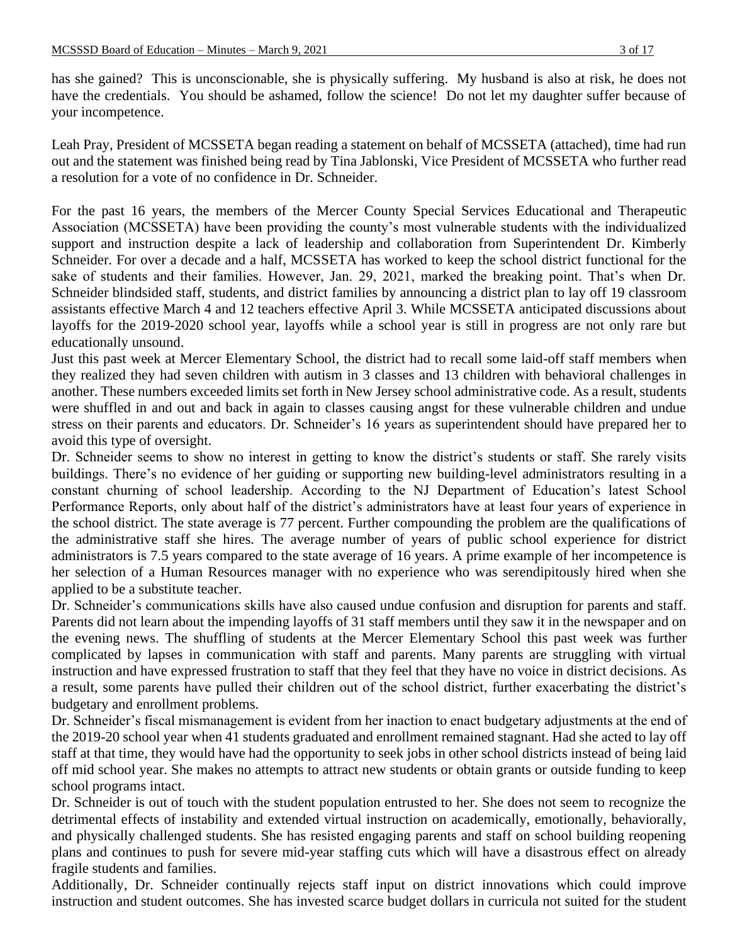has she gained? This is unconscionable, she is physically suffering. My husband is also at risk, he does not have the credentials. You should be ashamed, follow the science! Do not let my daughter suffer because of your incompetence.

Leah Pray, President of MCSSETA began reading a statement on behalf of MCSSETA (attached), time had run out and the statement was finished being read by Tina Jablonski, Vice President of MCSSETA who further read a resolution for a vote of no confidence in Dr. Schneider.

For the past 16 years, the members of the Mercer County Special Services Educational and Therapeutic Association (MCSSETA) have been providing the county's most vulnerable students with the individualized support and instruction despite a lack of leadership and collaboration from Superintendent Dr. Kimberly Schneider. For over a decade and a half, MCSSETA has worked to keep the school district functional for the sake of students and their families. However, Jan. 29, 2021, marked the breaking point. That's when Dr. Schneider blindsided staff, students, and district families by announcing a district plan to lay off 19 classroom assistants effective March 4 and 12 teachers effective April 3. While MCSSETA anticipated discussions about layoffs for the 2019-2020 school year, layoffs while a school year is still in progress are not only rare but educationally unsound.

Just this past week at Mercer Elementary School, the district had to recall some laid-off staff members when they realized they had seven children with autism in 3 classes and 13 children with behavioral challenges in another. These numbers exceeded limits set forth in New Jersey school administrative code. As a result, students were shuffled in and out and back in again to classes causing angst for these vulnerable children and undue stress on their parents and educators. Dr. Schneider's 16 years as superintendent should have prepared her to avoid this type of oversight.

Dr. Schneider seems to show no interest in getting to know the district's students or staff. She rarely visits buildings. There's no evidence of her guiding or supporting new building-level administrators resulting in a constant churning of school leadership. According to the NJ Department of Education's latest School Performance Reports, only about half of the district's administrators have at least four years of experience in the school district. The state average is 77 percent. Further compounding the problem are the qualifications of the administrative staff she hires. The average number of years of public school experience for district administrators is 7.5 years compared to the state average of 16 years. A prime example of her incompetence is her selection of a Human Resources manager with no experience who was serendipitously hired when she applied to be a substitute teacher.

Dr. Schneider's communications skills have also caused undue confusion and disruption for parents and staff. Parents did not learn about the impending layoffs of 31 staff members until they saw it in the newspaper and on the evening news. The shuffling of students at the Mercer Elementary School this past week was further complicated by lapses in communication with staff and parents. Many parents are struggling with virtual instruction and have expressed frustration to staff that they feel that they have no voice in district decisions. As a result, some parents have pulled their children out of the school district, further exacerbating the district's budgetary and enrollment problems.

Dr. Schneider's fiscal mismanagement is evident from her inaction to enact budgetary adjustments at the end of the 2019-20 school year when 41 students graduated and enrollment remained stagnant. Had she acted to lay off staff at that time, they would have had the opportunity to seek jobs in other school districts instead of being laid off mid school year. She makes no attempts to attract new students or obtain grants or outside funding to keep school programs intact.

Dr. Schneider is out of touch with the student population entrusted to her. She does not seem to recognize the detrimental effects of instability and extended virtual instruction on academically, emotionally, behaviorally, and physically challenged students. She has resisted engaging parents and staff on school building reopening plans and continues to push for severe mid-year staffing cuts which will have a disastrous effect on already fragile students and families.

Additionally, Dr. Schneider continually rejects staff input on district innovations which could improve instruction and student outcomes. She has invested scarce budget dollars in curricula not suited for the student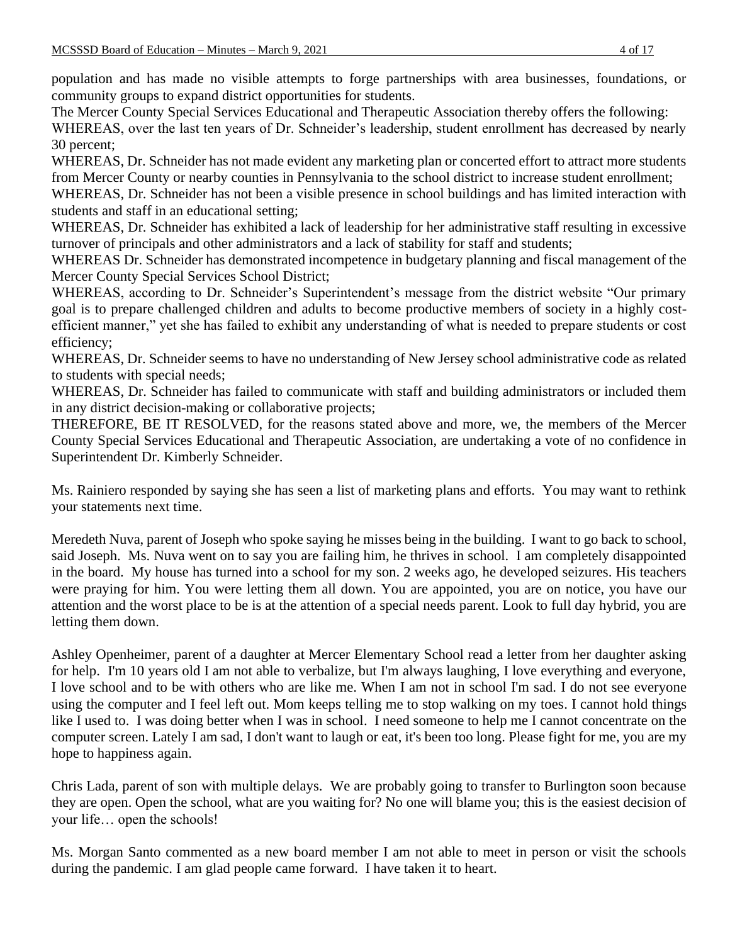population and has made no visible attempts to forge partnerships with area businesses, foundations, or community groups to expand district opportunities for students.

The Mercer County Special Services Educational and Therapeutic Association thereby offers the following: WHEREAS, over the last ten years of Dr. Schneider's leadership, student enrollment has decreased by nearly 30 percent;

WHEREAS, Dr. Schneider has not made evident any marketing plan or concerted effort to attract more students from Mercer County or nearby counties in Pennsylvania to the school district to increase student enrollment;

WHEREAS, Dr. Schneider has not been a visible presence in school buildings and has limited interaction with students and staff in an educational setting;

WHEREAS, Dr. Schneider has exhibited a lack of leadership for her administrative staff resulting in excessive turnover of principals and other administrators and a lack of stability for staff and students;

WHEREAS Dr. Schneider has demonstrated incompetence in budgetary planning and fiscal management of the Mercer County Special Services School District;

WHEREAS, according to Dr. Schneider's Superintendent's message from the district website "Our primary goal is to prepare challenged children and adults to become productive members of society in a highly costefficient manner," yet she has failed to exhibit any understanding of what is needed to prepare students or cost efficiency;

WHEREAS, Dr. Schneider seems to have no understanding of New Jersey school administrative code as related to students with special needs;

WHEREAS, Dr. Schneider has failed to communicate with staff and building administrators or included them in any district decision-making or collaborative projects;

THEREFORE, BE IT RESOLVED, for the reasons stated above and more, we, the members of the Mercer County Special Services Educational and Therapeutic Association, are undertaking a vote of no confidence in Superintendent Dr. Kimberly Schneider.

Ms. Rainiero responded by saying she has seen a list of marketing plans and efforts. You may want to rethink your statements next time.

Meredeth Nuva, parent of Joseph who spoke saying he misses being in the building. I want to go back to school, said Joseph. Ms. Nuva went on to say you are failing him, he thrives in school. I am completely disappointed in the board. My house has turned into a school for my son. 2 weeks ago, he developed seizures. His teachers were praying for him. You were letting them all down. You are appointed, you are on notice, you have our attention and the worst place to be is at the attention of a special needs parent. Look to full day hybrid, you are letting them down.

Ashley Openheimer, parent of a daughter at Mercer Elementary School read a letter from her daughter asking for help. I'm 10 years old I am not able to verbalize, but I'm always laughing, I love everything and everyone, I love school and to be with others who are like me. When I am not in school I'm sad. I do not see everyone using the computer and I feel left out. Mom keeps telling me to stop walking on my toes. I cannot hold things like I used to. I was doing better when I was in school. I need someone to help me I cannot concentrate on the computer screen. Lately I am sad, I don't want to laugh or eat, it's been too long. Please fight for me, you are my hope to happiness again.

Chris Lada, parent of son with multiple delays. We are probably going to transfer to Burlington soon because they are open. Open the school, what are you waiting for? No one will blame you; this is the easiest decision of your life… open the schools!

Ms. Morgan Santo commented as a new board member I am not able to meet in person or visit the schools during the pandemic. I am glad people came forward. I have taken it to heart.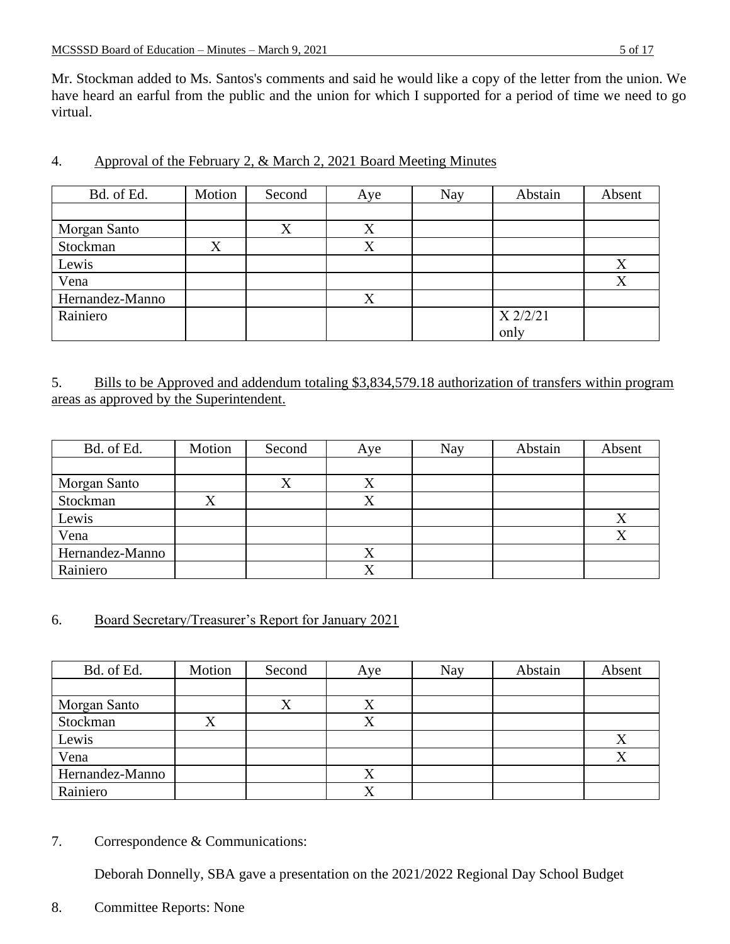Mr. Stockman added to Ms. Santos's comments and said he would like a copy of the letter from the union. We have heard an earful from the public and the union for which I supported for a period of time we need to go virtual.

| Bd. of Ed.      | Motion | Second | Aye | Nay | Abstain    | Absent |
|-----------------|--------|--------|-----|-----|------------|--------|
|                 |        |        |     |     |            |        |
| Morgan Santo    |        | Χ      | Χ   |     |            |        |
| Stockman        | X      |        | X   |     |            |        |
| Lewis           |        |        |     |     |            | X      |
| Vena            |        |        |     |     |            | X      |
| Hernandez-Manno |        |        | X   |     |            |        |
| Rainiero        |        |        |     |     | $X$ 2/2/21 |        |
|                 |        |        |     |     | only       |        |

## 4. Approval of the February 2, & March 2, 2021 Board Meeting Minutes

## 5. Bills to be Approved and addendum totaling \$3,834,579.18 authorization of transfers within program areas as approved by the Superintendent.

| Bd. of Ed.      | Motion | Second | Aye       | Nay | Abstain | Absent |
|-----------------|--------|--------|-----------|-----|---------|--------|
|                 |        |        |           |     |         |        |
| Morgan Santo    |        |        | $\Lambda$ |     |         |        |
| Stockman        |        |        |           |     |         |        |
| Lewis           |        |        |           |     |         | Δ      |
| Vena            |        |        |           |     |         | X      |
| Hernandez-Manno |        |        |           |     |         |        |
| Rainiero        |        |        |           |     |         |        |

## 6. Board Secretary/Treasurer's Report for January 2021

| Bd. of Ed.      | Motion | Second | Aye       | Nay | Abstain | Absent |
|-----------------|--------|--------|-----------|-----|---------|--------|
|                 |        |        |           |     |         |        |
| Morgan Santo    |        |        |           |     |         |        |
| Stockman        |        |        |           |     |         |        |
| Lewis           |        |        |           |     |         |        |
| Vena            |        |        |           |     |         |        |
| Hernandez-Manno |        |        | $\Lambda$ |     |         |        |
| Rainiero        |        |        |           |     |         |        |

7. Correspondence & Communications:

Deborah Donnelly, SBA gave a presentation on the 2021/2022 Regional Day School Budget

8. Committee Reports: None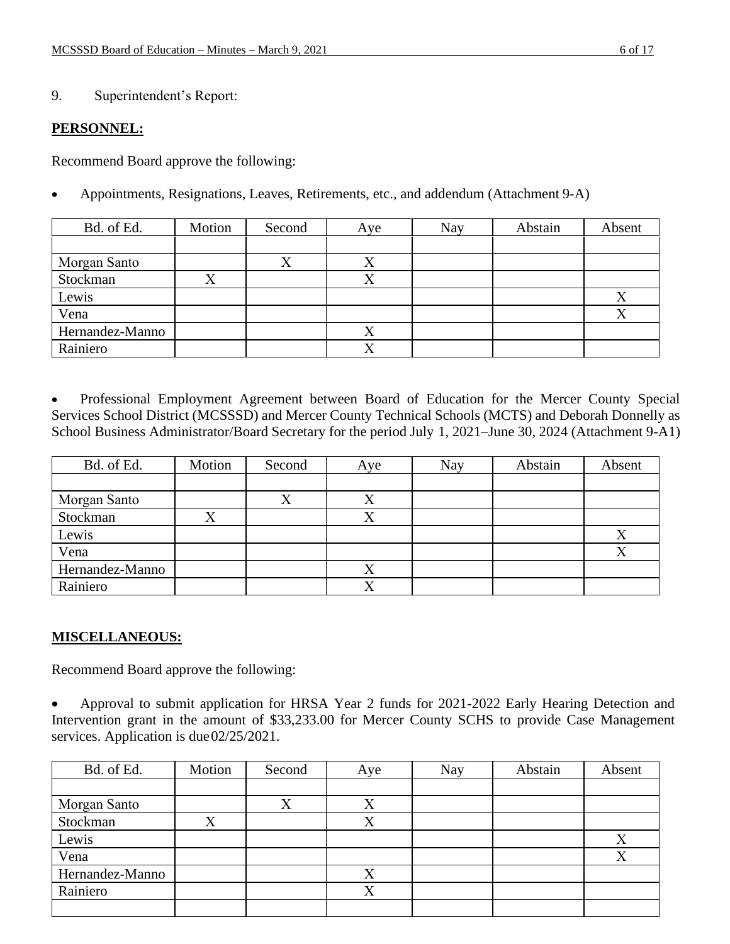### 9. Superintendent's Report:

#### **PERSONNEL:**

Recommend Board approve the following:

• Appointments, Resignations, Leaves, Retirements, etc., and addendum (Attachment 9-A)

| Bd. of Ed.      | Motion | Second | Aye       | <b>Nay</b> | Abstain | Absent |
|-----------------|--------|--------|-----------|------------|---------|--------|
|                 |        |        |           |            |         |        |
| Morgan Santo    |        | △      | $\Lambda$ |            |         |        |
| Stockman        | X      |        |           |            |         |        |
| Lewis           |        |        |           |            |         | X      |
| Vena            |        |        |           |            |         | X      |
| Hernandez-Manno |        |        |           |            |         |        |
| Rainiero        |        |        | $\Lambda$ |            |         |        |

• Professional Employment Agreement between Board of Education for the Mercer County Special Services School District (MCSSSD) and Mercer County Technical Schools (MCTS) and Deborah Donnelly as School Business Administrator/Board Secretary for the period July 1, 2021–June 30, 2024 (Attachment 9-A1)

| Bd. of Ed.      | Motion | Second | Aye       | Nay | Abstain | Absent    |
|-----------------|--------|--------|-----------|-----|---------|-----------|
|                 |        |        |           |     |         |           |
| Morgan Santo    |        |        |           |     |         |           |
| Stockman        |        |        |           |     |         |           |
| Lewis           |        |        |           |     |         | v         |
| Vena            |        |        |           |     |         | $\Lambda$ |
| Hernandez-Manno |        |        | $\Lambda$ |     |         |           |
| Rainiero        |        |        |           |     |         |           |

## **MISCELLANEOUS:**

Recommend Board approve the following:

• Approval to submit application for HRSA Year 2 funds for 2021-2022 Early Hearing Detection and Intervention grant in the amount of \$33,233.00 for Mercer County SCHS to provide Case Management services. Application is due 02/25/2021.

| Bd. of Ed.      | Motion | Second | Aye         | Nay | Abstain | Absent |
|-----------------|--------|--------|-------------|-----|---------|--------|
|                 |        |        |             |     |         |        |
| Morgan Santo    |        |        |             |     |         |        |
| Stockman        |        |        |             |     |         |        |
| Lewis           |        |        |             |     |         | X      |
| Vena            |        |        |             |     |         | X      |
| Hernandez-Manno |        |        | X           |     |         |        |
| Rainiero        |        |        | $\mathbf v$ |     |         |        |
|                 |        |        |             |     |         |        |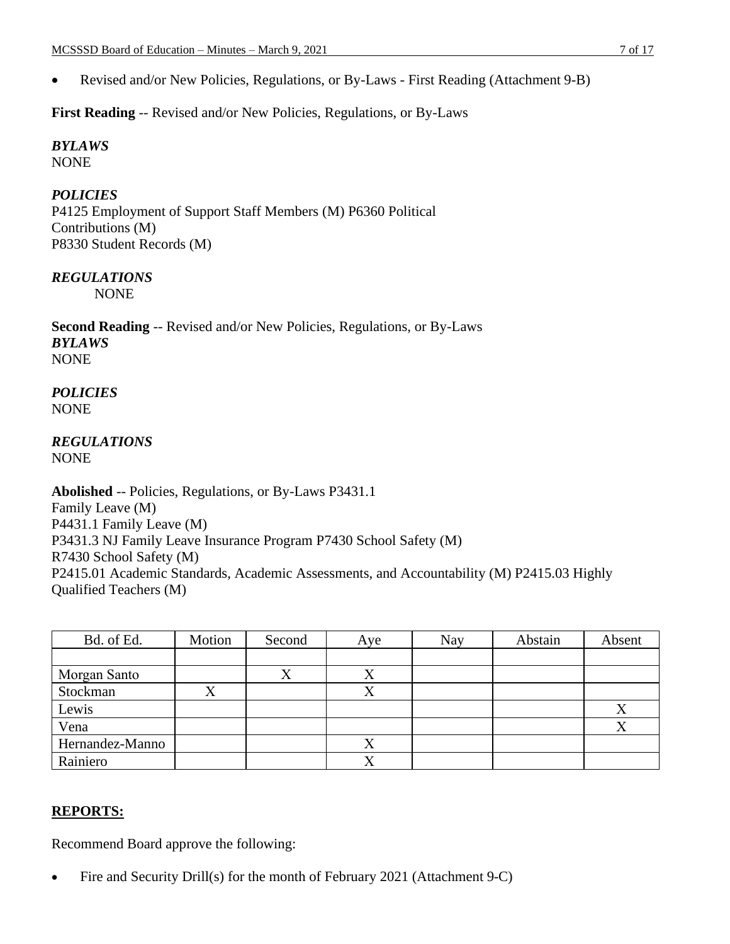• Revised and/or New Policies, Regulations, or By-Laws - First Reading (Attachment 9-B)

**First Reading** -- Revised and/or New Policies, Regulations, or By-Laws

*BYLAWS* NONE

# *POLICIES*

P4125 Employment of Support Staff Members (M) P6360 Political Contributions (M) P8330 Student Records (M)

## *REGULATIONS*

NONE

**Second Reading** -- Revised and/or New Policies, Regulations, or By-Laws *BYLAWS* NONE

*POLICIES* NONE

#### *REGULATIONS* NONE

**Abolished** -- Policies, Regulations, or By-Laws P3431.1 Family Leave (M) P4431.1 Family Leave (M) P3431.3 NJ Family Leave Insurance Program P7430 School Safety (M) R7430 School Safety (M) P2415.01 Academic Standards, Academic Assessments, and Accountability (M) P2415.03 Highly Qualified Teachers (M)

| Bd. of Ed.      | Motion | Second | Aye       | Nay | Abstain | Absent |
|-----------------|--------|--------|-----------|-----|---------|--------|
|                 |        |        |           |     |         |        |
| Morgan Santo    |        |        | Χ         |     |         |        |
| Stockman        | л      |        | $\Lambda$ |     |         |        |
| Lewis           |        |        |           |     |         | X      |
| Vena            |        |        |           |     |         | X      |
| Hernandez-Manno |        |        | X         |     |         |        |
| Rainiero        |        |        | v         |     |         |        |

# **REPORTS:**

Recommend Board approve the following:

• Fire and Security Drill(s) for the month of February 2021 (Attachment 9-C)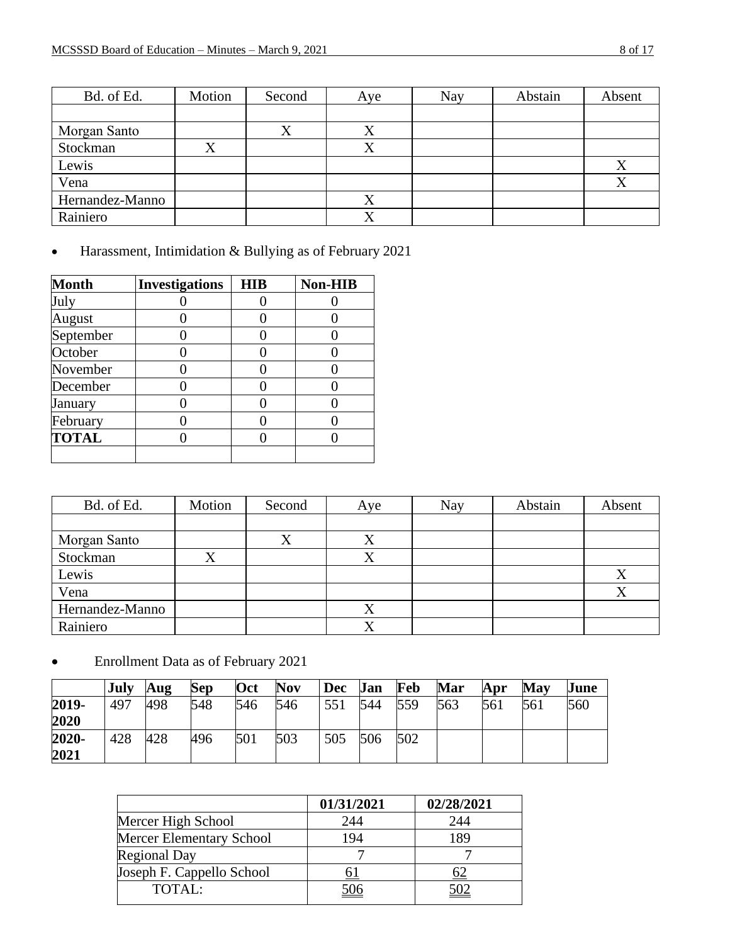| Bd. of Ed.      | Motion | Second | Aye       | Nay | Abstain | Absent |
|-----------------|--------|--------|-----------|-----|---------|--------|
|                 |        |        |           |     |         |        |
| Morgan Santo    |        | ∡      | $\Lambda$ |     |         |        |
| Stockman        |        |        |           |     |         |        |
| Lewis           |        |        |           |     |         | Χ      |
| Vena            |        |        |           |     |         |        |
| Hernandez-Manno |        |        |           |     |         |        |
| Rainiero        |        |        | △         |     |         |        |

• Harassment, Intimidation & Bullying as of February 2021

| <b>Month</b> | <b>Investigations</b> | <b>HIB</b> | <b>Non-HIB</b> |
|--------------|-----------------------|------------|----------------|
| July         |                       |            |                |
| August       |                       |            |                |
| September    |                       |            |                |
| October      |                       |            |                |
| November     |                       |            |                |
| December     |                       |            |                |
| January      |                       |            |                |
| February     |                       |            |                |
| <b>TOTAL</b> |                       |            |                |
|              |                       |            |                |

| Bd. of Ed.      | Motion | Second | Aye | Nay | Abstain | Absent |
|-----------------|--------|--------|-----|-----|---------|--------|
|                 |        |        |     |     |         |        |
| Morgan Santo    |        | Λ      |     |     |         |        |
| Stockman        | Χ      |        |     |     |         |        |
| Lewis           |        |        |     |     |         |        |
| Vena            |        |        |     |     |         |        |
| Hernandez-Manno |        |        | Λ   |     |         |        |
| Rainiero        |        |        | Δ   |     |         |        |

• Enrollment Data as of February 2021

|       | <b>July</b> | Aug | Sep | Oct | <b>Nov</b> | <b>Dec</b> | Jan | Feb | Mar | Apr | May | June |
|-------|-------------|-----|-----|-----|------------|------------|-----|-----|-----|-----|-----|------|
| 2019- | 497         | 498 | 548 | 546 | 546        | 551        | 544 | 559 | 563 | 561 | 561 | 560  |
| 2020  |             |     |     |     |            |            |     |     |     |     |     |      |
| 2020- | 428         | 428 | 496 | 501 | 503        | 505        | 506 | 502 |     |     |     |      |
| 2021  |             |     |     |     |            |            |     |     |     |     |     |      |

|                                 | 01/31/2021 | 02/28/2021 |
|---------------------------------|------------|------------|
| Mercer High School              | 244        | 244        |
| <b>Mercer Elementary School</b> | 194        | 189        |
| <b>Regional Day</b>             |            |            |
| Joseph F. Cappello School       |            |            |
| TOTAL:                          | 506        | 502        |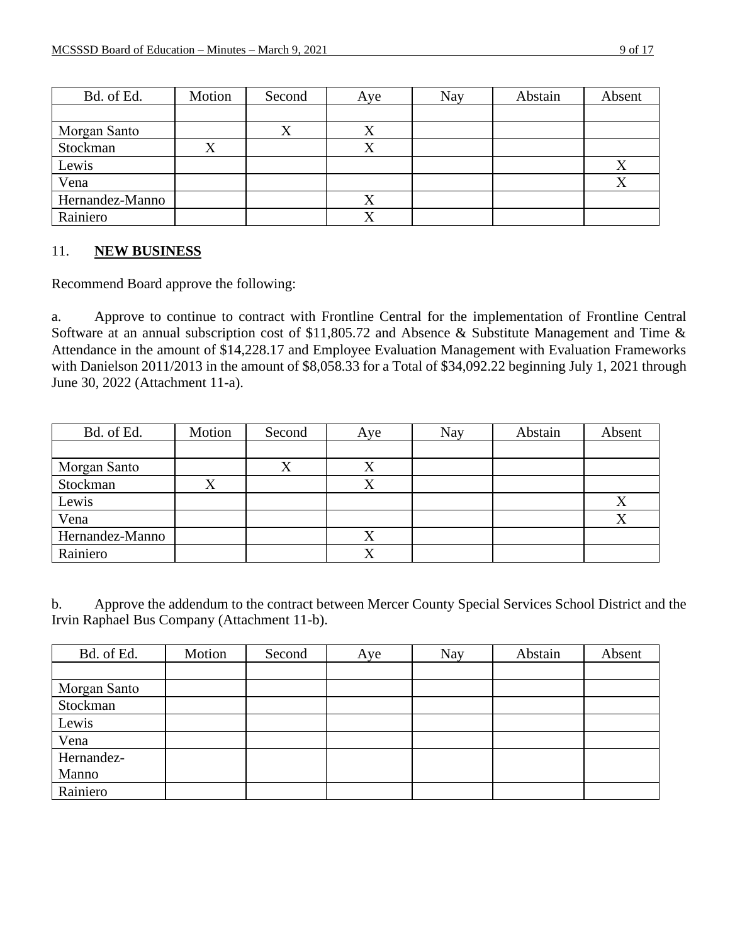| Bd. of Ed.      | Motion | Second | Aye | Nay | Abstain | Absent           |
|-----------------|--------|--------|-----|-----|---------|------------------|
|                 |        |        |     |     |         |                  |
| Morgan Santo    |        |        |     |     |         |                  |
| Stockman        |        |        |     |     |         |                  |
| Lewis           |        |        |     |     |         | Х                |
| Vena            |        |        |     |     |         | $\mathbf v$<br>Δ |
| Hernandez-Manno |        |        |     |     |         |                  |
| Rainiero        |        |        |     |     |         |                  |

#### 11. **NEW BUSINESS**

Recommend Board approve the following:

a. Approve to continue to contract with Frontline Central for the implementation of Frontline Central Software at an annual subscription cost of \$11,805.72 and Absence & Substitute Management and Time & Attendance in the amount of \$14,228.17 and Employee Evaluation Management with Evaluation Frameworks with Danielson 2011/2013 in the amount of \$8,058.33 for a Total of \$34,092.22 beginning July 1, 2021 through June 30, 2022 (Attachment 11-a).

| Bd. of Ed.      | Motion | Second | Aye       | Nay | Abstain | Absent |
|-----------------|--------|--------|-----------|-----|---------|--------|
|                 |        |        |           |     |         |        |
| Morgan Santo    |        |        | $\Lambda$ |     |         |        |
| Stockman        |        |        |           |     |         |        |
| Lewis           |        |        |           |     |         | Χ      |
| Vena            |        |        |           |     |         | X      |
| Hernandez-Manno |        |        |           |     |         |        |
| Rainiero        |        |        |           |     |         |        |

b. Approve the addendum to the contract between Mercer County Special Services School District and the Irvin Raphael Bus Company (Attachment 11-b).

| Bd. of Ed.   | Motion | Second | Aye | <b>Nay</b> | Abstain | Absent |
|--------------|--------|--------|-----|------------|---------|--------|
|              |        |        |     |            |         |        |
| Morgan Santo |        |        |     |            |         |        |
| Stockman     |        |        |     |            |         |        |
| Lewis        |        |        |     |            |         |        |
| Vena         |        |        |     |            |         |        |
| Hernandez-   |        |        |     |            |         |        |
| Manno        |        |        |     |            |         |        |
| Rainiero     |        |        |     |            |         |        |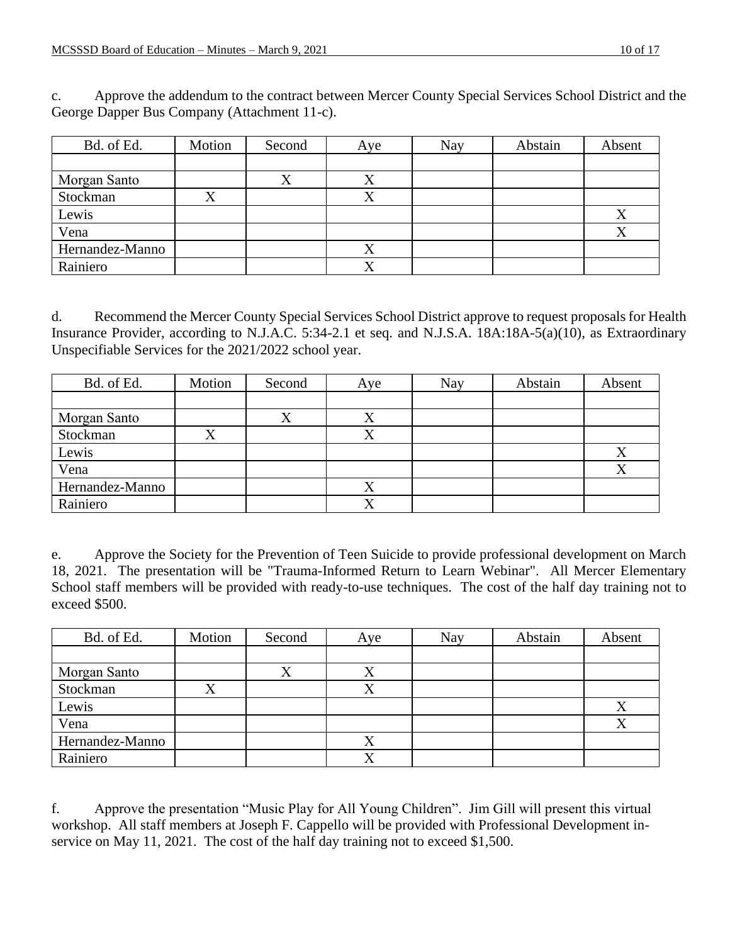c. Approve the addendum to the contract between Mercer County Special Services School District and the George Dapper Bus Company (Attachment 11-c).

| Bd. of Ed.      | Motion | Second    | Aye | <b>Nay</b> | Abstain | Absent    |
|-----------------|--------|-----------|-----|------------|---------|-----------|
|                 |        |           |     |            |         |           |
| Morgan Santo    |        | $\Lambda$ |     |            |         |           |
| Stockman        |        |           |     |            |         |           |
| Lewis           |        |           |     |            |         | Χ         |
| Vena            |        |           |     |            |         | $\Lambda$ |
| Hernandez-Manno |        |           |     |            |         |           |
| Rainiero        |        |           |     |            |         |           |

d. Recommend the Mercer County Special Services School District approve to request proposals for Health Insurance Provider, according to N.J.A.C. 5:34-2.1 et seq. and N.J.S.A. 18A:18A-5(a)(10), as Extraordinary Unspecifiable Services for the 2021/2022 school year.

| Bd. of Ed.      | Motion | Second | Aye                       | Nay | Abstain | Absent |
|-----------------|--------|--------|---------------------------|-----|---------|--------|
|                 |        |        |                           |     |         |        |
| Morgan Santo    |        |        |                           |     |         |        |
| Stockman        |        |        |                           |     |         |        |
| Lewis           |        |        |                           |     |         | X      |
| Vena            |        |        |                           |     |         |        |
| Hernandez-Manno |        |        | $\mathbf{v}$<br>$\Lambda$ |     |         |        |
| Rainiero        |        |        |                           |     |         |        |

e. Approve the Society for the Prevention of Teen Suicide to provide professional development on March 18, 2021. The presentation will be "Trauma-Informed Return to Learn Webinar". All Mercer Elementary School staff members will be provided with ready-to-use techniques. The cost of the half day training not to exceed \$500.

| Bd. of Ed.      | Motion | Second    | Aye | Nay | Abstain | Absent |
|-----------------|--------|-----------|-----|-----|---------|--------|
|                 |        |           |     |     |         |        |
| Morgan Santo    |        | $\Lambda$ | ∡   |     |         |        |
| Stockman        |        |           |     |     |         |        |
| Lewis           |        |           |     |     |         |        |
| Vena            |        |           |     |     |         |        |
| Hernandez-Manno |        |           |     |     |         |        |
| Rainiero        |        |           |     |     |         |        |

f. Approve the presentation "Music Play for All Young Children". Jim Gill will present this virtual workshop. All staff members at Joseph F. Cappello will be provided with Professional Development inservice on May 11, 2021. The cost of the half day training not to exceed \$1,500.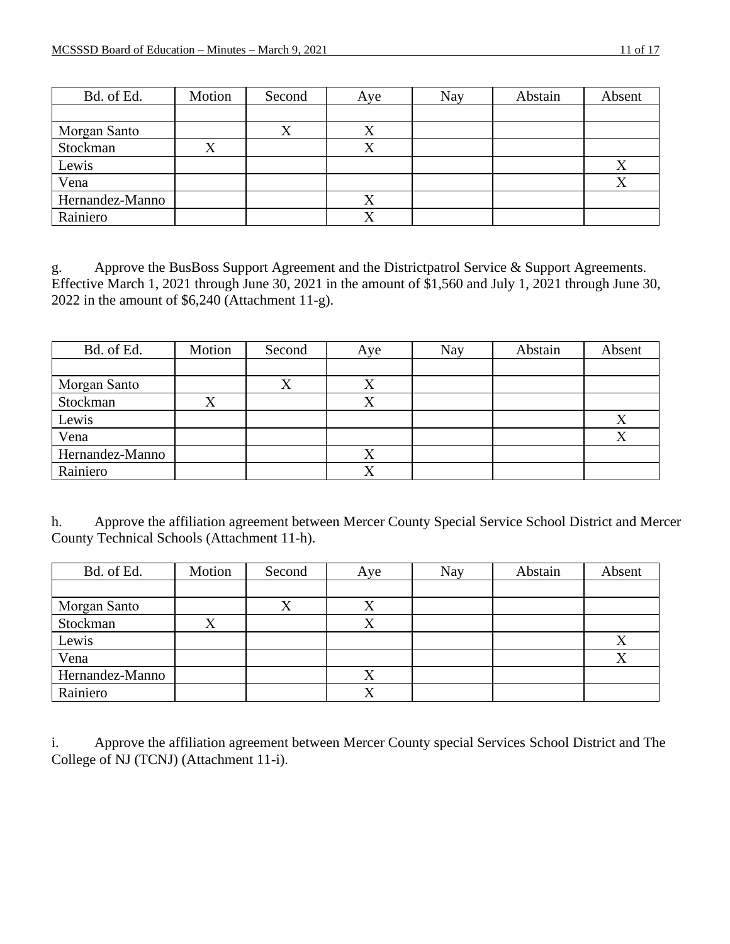| Bd. of Ed.      | Motion | Second    | Aye | Nay | Abstain | Absent |
|-----------------|--------|-----------|-----|-----|---------|--------|
|                 |        |           |     |     |         |        |
| Morgan Santo    |        | $\Lambda$ | ∡   |     |         |        |
| Stockman        |        |           |     |     |         |        |
| Lewis           |        |           |     |     |         | Χ      |
| Vena            |        |           |     |     |         | Λ      |
| Hernandez-Manno |        |           |     |     |         |        |
| Rainiero        |        |           |     |     |         |        |

g. Approve the BusBoss Support Agreement and the Districtpatrol Service & Support Agreements. Effective March 1, 2021 through June 30, 2021 in the amount of \$1,560 and July 1, 2021 through June 30, 2022 in the amount of \$6,240 (Attachment 11-g).

| Bd. of Ed.      | Motion | Second | Aye | Nay | Abstain | Absent |
|-----------------|--------|--------|-----|-----|---------|--------|
|                 |        |        |     |     |         |        |
| Morgan Santo    |        |        |     |     |         |        |
| Stockman        |        |        |     |     |         |        |
| Lewis           |        |        |     |     |         | Λ      |
| Vena            |        |        |     |     |         | ∡      |
| Hernandez-Manno |        |        |     |     |         |        |
| Rainiero        |        |        |     |     |         |        |

h. Approve the affiliation agreement between Mercer County Special Service School District and Mercer County Technical Schools (Attachment 11-h).

| Bd. of Ed.      | Motion | Second | Aye | Nay | Abstain | Absent |
|-----------------|--------|--------|-----|-----|---------|--------|
|                 |        |        |     |     |         |        |
| Morgan Santo    |        |        |     |     |         |        |
| Stockman        |        |        |     |     |         |        |
| Lewis           |        |        |     |     |         | л      |
| Vena            |        |        |     |     |         |        |
| Hernandez-Manno |        |        |     |     |         |        |
| Rainiero        |        |        |     |     |         |        |

i. Approve the affiliation agreement between Mercer County special Services School District and The College of NJ (TCNJ) (Attachment 11-i).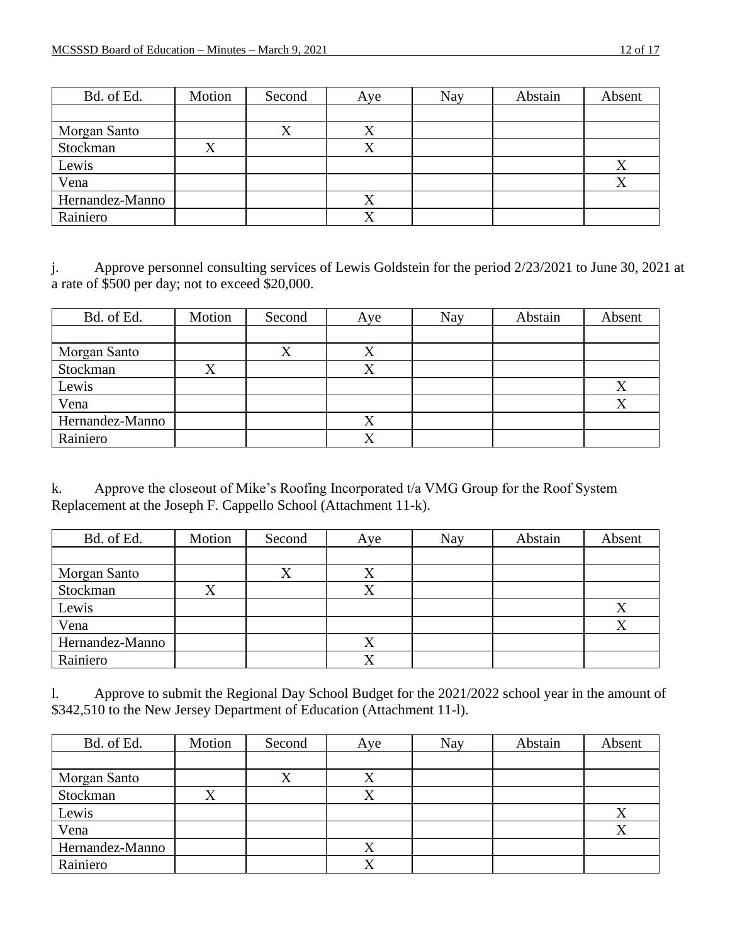| Bd. of Ed.      | Motion | Second | Aye       | Nay | Abstain | Absent |
|-----------------|--------|--------|-----------|-----|---------|--------|
|                 |        |        |           |     |         |        |
| Morgan Santo    |        | Δ      | $\Lambda$ |     |         |        |
| Stockman        |        |        |           |     |         |        |
| Lewis           |        |        |           |     |         | Χ      |
| Vena            |        |        |           |     |         | v      |
| Hernandez-Manno |        |        |           |     |         |        |
| Rainiero        |        |        | △         |     |         |        |

j. Approve personnel consulting services of Lewis Goldstein for the period 2/23/2021 to June 30, 2021 at a rate of \$500 per day; not to exceed \$20,000.

| Bd. of Ed.      | Motion | Second    | Aye       | Nay | Abstain | Absent |
|-----------------|--------|-----------|-----------|-----|---------|--------|
|                 |        |           |           |     |         |        |
| Morgan Santo    |        | $\Lambda$ | $\Lambda$ |     |         |        |
| Stockman        |        |           |           |     |         |        |
| Lewis           |        |           |           |     |         | X      |
| Vena            |        |           |           |     |         | X      |
| Hernandez-Manno |        |           |           |     |         |        |
| Rainiero        |        |           |           |     |         |        |

k. Approve the closeout of Mike's Roofing Incorporated t/a VMG Group for the Roof System Replacement at the Joseph F. Cappello School (Attachment 11-k).

| Bd. of Ed.      | Motion | Second    | Aye       | Nay | Abstain | Absent                   |
|-----------------|--------|-----------|-----------|-----|---------|--------------------------|
|                 |        |           |           |     |         |                          |
| Morgan Santo    |        | $\Lambda$ | $\Lambda$ |     |         |                          |
| Stockman        |        |           |           |     |         |                          |
| Lewis           |        |           |           |     |         | Χ                        |
| Vena            |        |           |           |     |         | $\mathbf v$<br>$\Lambda$ |
| Hernandez-Manno |        |           |           |     |         |                          |
| Rainiero        |        |           |           |     |         |                          |

l. Approve to submit the Regional Day School Budget for the 2021/2022 school year in the amount of \$342,510 to the New Jersey Department of Education (Attachment 11-1).

| Bd. of Ed.      | Motion | Second | Aye | Nay | Abstain | Absent    |
|-----------------|--------|--------|-----|-----|---------|-----------|
|                 |        |        |     |     |         |           |
| Morgan Santo    |        |        |     |     |         |           |
| Stockman        |        |        |     |     |         |           |
| Lewis           |        |        |     |     |         | $\Lambda$ |
| Vena            |        |        |     |     |         |           |
| Hernandez-Manno |        |        |     |     |         |           |
| Rainiero        |        |        |     |     |         |           |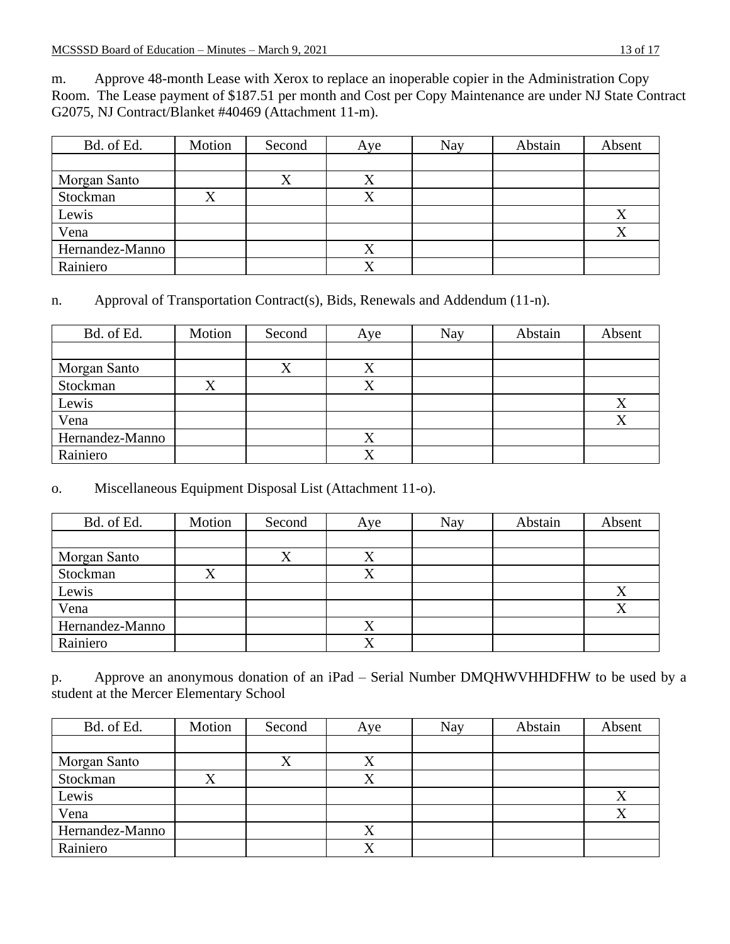m. Approve 48-month Lease with Xerox to replace an inoperable copier in the Administration Copy Room. The Lease payment of \$187.51 per month and Cost per Copy Maintenance are under NJ State Contract G2075, NJ Contract/Blanket #40469 (Attachment 11-m).

| Bd. of Ed.      | Motion | Second    | Aye | Nay | Abstain | Absent |
|-----------------|--------|-----------|-----|-----|---------|--------|
|                 |        |           |     |     |         |        |
| Morgan Santo    |        | $\Lambda$ | ∡   |     |         |        |
| Stockman        |        |           |     |     |         |        |
| Lewis           |        |           |     |     |         | Χ      |
| Vena            |        |           |     |     |         | Λ      |
| Hernandez-Manno |        |           |     |     |         |        |
| Rainiero        |        |           |     |     |         |        |

n. Approval of Transportation Contract(s), Bids, Renewals and Addendum (11-n).

| Bd. of Ed.      | Motion | Second    | Aye | Nay | Abstain | Absent |
|-----------------|--------|-----------|-----|-----|---------|--------|
|                 |        |           |     |     |         |        |
| Morgan Santo    |        | $\Lambda$ | Λ   |     |         |        |
| Stockman        |        |           |     |     |         |        |
| Lewis           |        |           |     |     |         | X      |
| Vena            |        |           |     |     |         | X      |
| Hernandez-Manno |        |           |     |     |         |        |
| Rainiero        |        |           | v   |     |         |        |

# o. Miscellaneous Equipment Disposal List (Attachment 11-o).

| Bd. of Ed.      | Motion | Second | Aye       | Nay | Abstain | Absent |
|-----------------|--------|--------|-----------|-----|---------|--------|
|                 |        |        |           |     |         |        |
| Morgan Santo    |        |        | $\Lambda$ |     |         |        |
| Stockman        |        |        |           |     |         |        |
| Lewis           |        |        |           |     |         | X      |
| Vena            |        |        |           |     |         |        |
| Hernandez-Manno |        |        | Λ         |     |         |        |
| Rainiero        |        |        |           |     |         |        |

p. Approve an anonymous donation of an iPad – Serial Number DMQHWVHHDFHW to be used by a student at the Mercer Elementary School

| Bd. of Ed.      | Motion | Second | Aye | <b>Nay</b> | Abstain | Absent |
|-----------------|--------|--------|-----|------------|---------|--------|
|                 |        |        |     |            |         |        |
| Morgan Santo    |        |        |     |            |         |        |
| Stockman        |        |        |     |            |         |        |
| Lewis           |        |        |     |            |         | v<br>Λ |
| Vena            |        |        |     |            |         | X      |
| Hernandez-Manno |        |        | Λ   |            |         |        |
| Rainiero        |        |        | ∡   |            |         |        |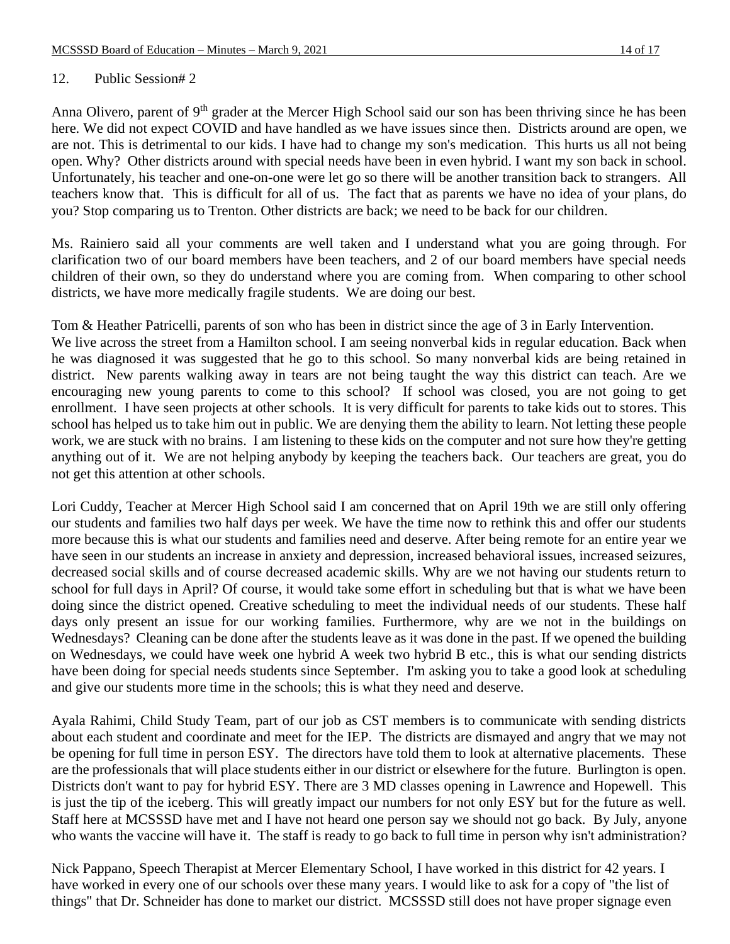### 12. Public Session# 2

Anna Olivero, parent of 9<sup>th</sup> grader at the Mercer High School said our son has been thriving since he has been here. We did not expect COVID and have handled as we have issues since then. Districts around are open, we are not. This is detrimental to our kids. I have had to change my son's medication. This hurts us all not being open. Why? Other districts around with special needs have been in even hybrid. I want my son back in school. Unfortunately, his teacher and one-on-one were let go so there will be another transition back to strangers. All teachers know that. This is difficult for all of us. The fact that as parents we have no idea of your plans, do you? Stop comparing us to Trenton. Other districts are back; we need to be back for our children.

Ms. Rainiero said all your comments are well taken and I understand what you are going through. For clarification two of our board members have been teachers, and 2 of our board members have special needs children of their own, so they do understand where you are coming from. When comparing to other school districts, we have more medically fragile students. We are doing our best.

Tom & Heather Patricelli, parents of son who has been in district since the age of 3 in Early Intervention. We live across the street from a Hamilton school. I am seeing nonverbal kids in regular education. Back when he was diagnosed it was suggested that he go to this school. So many nonverbal kids are being retained in district. New parents walking away in tears are not being taught the way this district can teach. Are we encouraging new young parents to come to this school? If school was closed, you are not going to get enrollment. I have seen projects at other schools. It is very difficult for parents to take kids out to stores. This

school has helped us to take him out in public. We are denying them the ability to learn. Not letting these people work, we are stuck with no brains. I am listening to these kids on the computer and not sure how they're getting anything out of it. We are not helping anybody by keeping the teachers back. Our teachers are great, you do not get this attention at other schools.

Lori Cuddy, Teacher at Mercer High School said I am concerned that on April 19th we are still only offering our students and families two half days per week. We have the time now to rethink this and offer our students more because this is what our students and families need and deserve. After being remote for an entire year we have seen in our students an increase in anxiety and depression, increased behavioral issues, increased seizures, decreased social skills and of course decreased academic skills. Why are we not having our students return to school for full days in April? Of course, it would take some effort in scheduling but that is what we have been doing since the district opened. Creative scheduling to meet the individual needs of our students. These half days only present an issue for our working families. Furthermore, why are we not in the buildings on Wednesdays? Cleaning can be done after the students leave as it was done in the past. If we opened the building on Wednesdays, we could have week one hybrid A week two hybrid B etc., this is what our sending districts have been doing for special needs students since September. I'm asking you to take a good look at scheduling and give our students more time in the schools; this is what they need and deserve.

Ayala Rahimi, Child Study Team, part of our job as CST members is to communicate with sending districts about each student and coordinate and meet for the IEP. The districts are dismayed and angry that we may not be opening for full time in person ESY. The directors have told them to look at alternative placements. These are the professionals that will place students either in our district or elsewhere for the future. Burlington is open. Districts don't want to pay for hybrid ESY. There are 3 MD classes opening in Lawrence and Hopewell. This is just the tip of the iceberg. This will greatly impact our numbers for not only ESY but for the future as well. Staff here at MCSSSD have met and I have not heard one person say we should not go back. By July, anyone who wants the vaccine will have it. The staff is ready to go back to full time in person why isn't administration?

Nick Pappano, Speech Therapist at Mercer Elementary School, I have worked in this district for 42 years. I have worked in every one of our schools over these many years. I would like to ask for a copy of "the list of things" that Dr. Schneider has done to market our district. MCSSSD still does not have proper signage even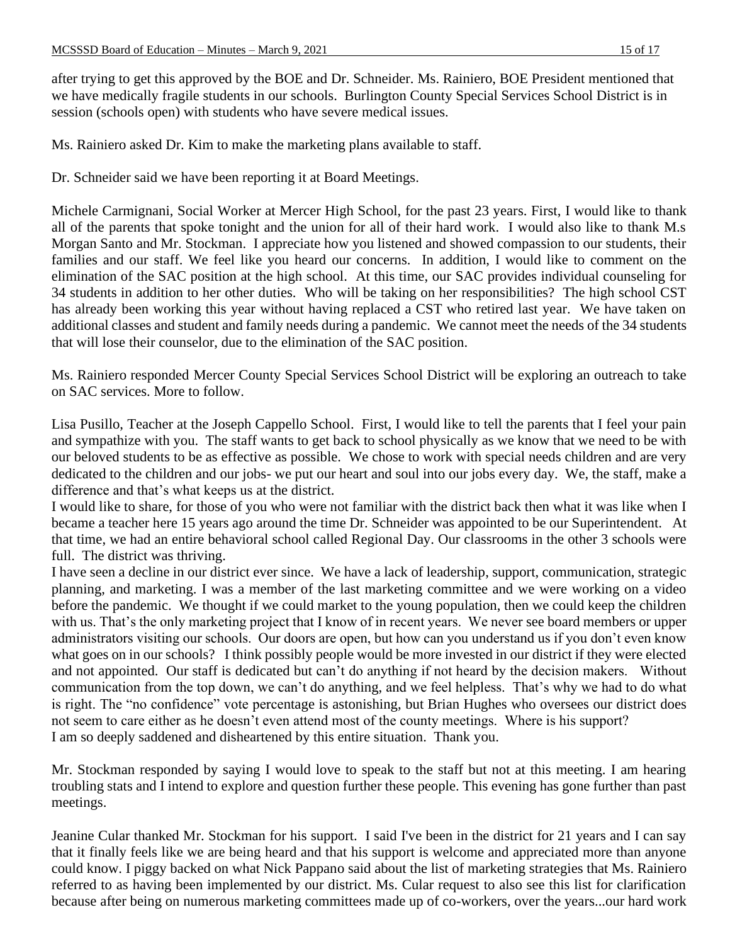after trying to get this approved by the BOE and Dr. Schneider. Ms. Rainiero, BOE President mentioned that we have medically fragile students in our schools. Burlington County Special Services School District is in session (schools open) with students who have severe medical issues.

Ms. Rainiero asked Dr. Kim to make the marketing plans available to staff.

Dr. Schneider said we have been reporting it at Board Meetings.

Michele Carmignani, Social Worker at Mercer High School, for the past 23 years. First, I would like to thank all of the parents that spoke tonight and the union for all of their hard work. I would also like to thank M.s Morgan Santo and Mr. Stockman. I appreciate how you listened and showed compassion to our students, their families and our staff. We feel like you heard our concerns. In addition, I would like to comment on the elimination of the SAC position at the high school. At this time, our SAC provides individual counseling for 34 students in addition to her other duties. Who will be taking on her responsibilities? The high school CST has already been working this year without having replaced a CST who retired last year. We have taken on additional classes and student and family needs during a pandemic. We cannot meet the needs of the 34 students that will lose their counselor, due to the elimination of the SAC position.

Ms. Rainiero responded Mercer County Special Services School District will be exploring an outreach to take on SAC services. More to follow.

Lisa Pusillo, Teacher at the Joseph Cappello School. First, I would like to tell the parents that I feel your pain and sympathize with you. The staff wants to get back to school physically as we know that we need to be with our beloved students to be as effective as possible. We chose to work with special needs children and are very dedicated to the children and our jobs- we put our heart and soul into our jobs every day. We, the staff, make a difference and that's what keeps us at the district.

I would like to share, for those of you who were not familiar with the district back then what it was like when I became a teacher here 15 years ago around the time Dr. Schneider was appointed to be our Superintendent. At that time, we had an entire behavioral school called Regional Day. Our classrooms in the other 3 schools were full. The district was thriving.

I have seen a decline in our district ever since. We have a lack of leadership, support, communication, strategic planning, and marketing. I was a member of the last marketing committee and we were working on a video before the pandemic. We thought if we could market to the young population, then we could keep the children with us. That's the only marketing project that I know of in recent years. We never see board members or upper administrators visiting our schools. Our doors are open, but how can you understand us if you don't even know what goes on in our schools? I think possibly people would be more invested in our district if they were elected and not appointed. Our staff is dedicated but can't do anything if not heard by the decision makers. Without communication from the top down, we can't do anything, and we feel helpless. That's why we had to do what is right. The "no confidence" vote percentage is astonishing, but Brian Hughes who oversees our district does not seem to care either as he doesn't even attend most of the county meetings. Where is his support? I am so deeply saddened and disheartened by this entire situation. Thank you.

Mr. Stockman responded by saying I would love to speak to the staff but not at this meeting. I am hearing troubling stats and I intend to explore and question further these people. This evening has gone further than past meetings.

Jeanine Cular thanked Mr. Stockman for his support. I said I've been in the district for 21 years and I can say that it finally feels like we are being heard and that his support is welcome and appreciated more than anyone could know. I piggy backed on what Nick Pappano said about the list of marketing strategies that Ms. Rainiero referred to as having been implemented by our district. Ms. Cular request to also see this list for clarification because after being on numerous marketing committees made up of co-workers, over the years...our hard work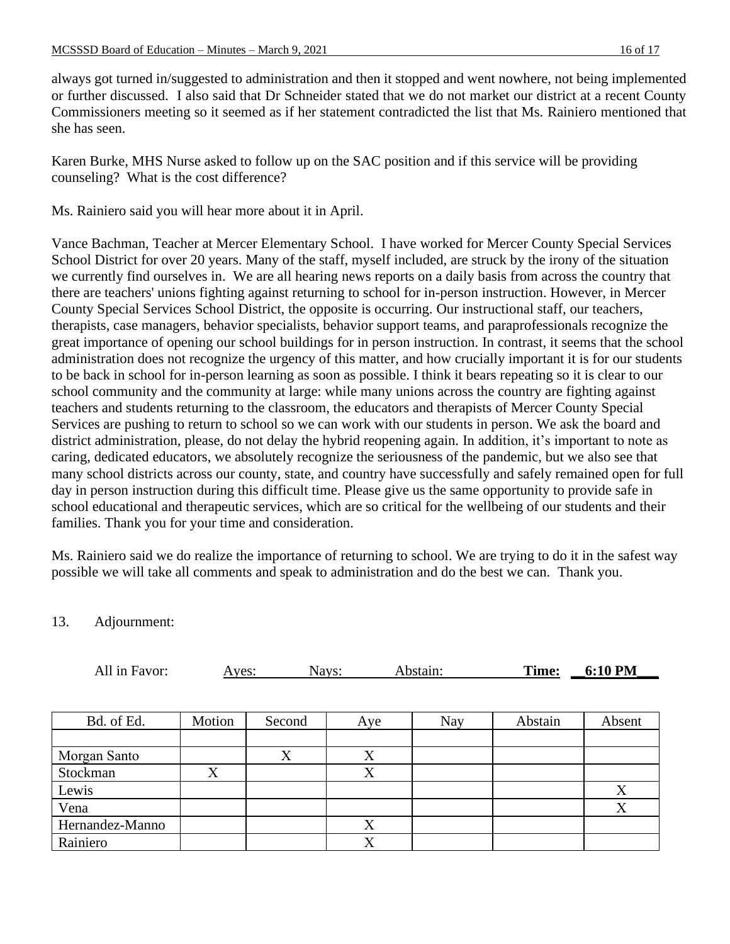always got turned in/suggested to administration and then it stopped and went nowhere, not being implemented or further discussed. I also said that Dr Schneider stated that we do not market our district at a recent County Commissioners meeting so it seemed as if her statement contradicted the list that Ms. Rainiero mentioned that she has seen.

Karen Burke, MHS Nurse asked to follow up on the SAC position and if this service will be providing counseling? What is the cost difference?

Ms. Rainiero said you will hear more about it in April.

Vance Bachman, Teacher at Mercer Elementary School. I have worked for Mercer County Special Services School District for over 20 years. Many of the staff, myself included, are struck by the irony of the situation we currently find ourselves in. We are all hearing news reports on a daily basis from across the country that there are teachers' unions fighting against returning to school for in-person instruction. However, in Mercer County Special Services School District, the opposite is occurring. Our instructional staff, our teachers, therapists, case managers, behavior specialists, behavior support teams, and paraprofessionals recognize the great importance of opening our school buildings for in person instruction. In contrast, it seems that the school administration does not recognize the urgency of this matter, and how crucially important it is for our students to be back in school for in-person learning as soon as possible. I think it bears repeating so it is clear to our school community and the community at large: while many unions across the country are fighting against teachers and students returning to the classroom, the educators and therapists of Mercer County Special Services are pushing to return to school so we can work with our students in person. We ask the board and district administration, please, do not delay the hybrid reopening again. In addition, it's important to note as caring, dedicated educators, we absolutely recognize the seriousness of the pandemic, but we also see that many school districts across our county, state, and country have successfully and safely remained open for full day in person instruction during this difficult time. Please give us the same opportunity to provide safe in school educational and therapeutic services, which are so critical for the wellbeing of our students and their families. Thank you for your time and consideration.

Ms. Rainiero said we do realize the importance of returning to school. We are trying to do it in the safest way possible we will take all comments and speak to administration and do the best we can. Thank you.

## 13. Adjournment:

| All in Favor:   | Nays:<br>Ayes: |        |     | Abstain:   | Time:   | 6:10 PM |
|-----------------|----------------|--------|-----|------------|---------|---------|
|                 |                |        |     |            |         |         |
| Bd. of Ed.      | Motion         | Second | Aye | <b>Nay</b> | Abstain | Absent  |
| Morgan Santo    |                | X      | X   |            |         |         |
| Stockman        | X              |        | X   |            |         |         |
| Lewis           |                |        |     |            |         | X       |
| Vena            |                |        |     |            |         | X       |
| Hernandez-Manno |                |        | X   |            |         |         |
| Rainiero        |                |        | X   |            |         |         |